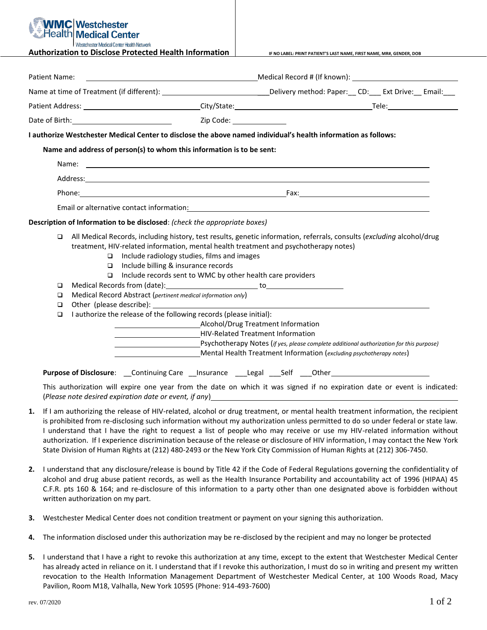## **Westchester Medical Center** tchester Medical Center Health Network

**Authorization to Disclose Protected Health Information IF NO LABEL: PRINT PATIENT'S LAST NAME, FIRST NAME, MR#, GENDER, DOB**

| Patient Name:                        |                       |                                                                                                                                                                                                                                                                                                                                                                                                                                                                                                                                                                                                      |                                                                                                          |  |  |  |  |  |  |
|--------------------------------------|-----------------------|------------------------------------------------------------------------------------------------------------------------------------------------------------------------------------------------------------------------------------------------------------------------------------------------------------------------------------------------------------------------------------------------------------------------------------------------------------------------------------------------------------------------------------------------------------------------------------------------------|----------------------------------------------------------------------------------------------------------|--|--|--|--|--|--|
|                                      |                       | Name at time of Treatment (if different): ___________________________________Delivery method: Paper:___ CD:____ Ext Drive:__ Email:___                                                                                                                                                                                                                                                                                                                                                                                                                                                               |                                                                                                          |  |  |  |  |  |  |
|                                      |                       |                                                                                                                                                                                                                                                                                                                                                                                                                                                                                                                                                                                                      |                                                                                                          |  |  |  |  |  |  |
|                                      |                       | Date of Birth: <u>Cambridge Community Community Code:</u>                                                                                                                                                                                                                                                                                                                                                                                                                                                                                                                                            |                                                                                                          |  |  |  |  |  |  |
|                                      |                       | I authorize Westchester Medical Center to disclose the above named individual's health information as follows:                                                                                                                                                                                                                                                                                                                                                                                                                                                                                       |                                                                                                          |  |  |  |  |  |  |
|                                      |                       | Name and address of person(s) to whom this information is to be sent:                                                                                                                                                                                                                                                                                                                                                                                                                                                                                                                                |                                                                                                          |  |  |  |  |  |  |
|                                      |                       |                                                                                                                                                                                                                                                                                                                                                                                                                                                                                                                                                                                                      |                                                                                                          |  |  |  |  |  |  |
|                                      |                       |                                                                                                                                                                                                                                                                                                                                                                                                                                                                                                                                                                                                      |                                                                                                          |  |  |  |  |  |  |
|                                      |                       |                                                                                                                                                                                                                                                                                                                                                                                                                                                                                                                                                                                                      |                                                                                                          |  |  |  |  |  |  |
|                                      |                       | Email or alternative contact information: Notified and the content of the content of the content of the content of the content of the content of the content of the content of the content of the content of the content of th                                                                                                                                                                                                                                                                                                                                                                       |                                                                                                          |  |  |  |  |  |  |
|                                      |                       | Description of Information to be disclosed: (check the appropriate boxes)                                                                                                                                                                                                                                                                                                                                                                                                                                                                                                                            |                                                                                                          |  |  |  |  |  |  |
| $\Box$<br>□<br>□<br>$\Box$<br>$\Box$ | $\Box$<br>□<br>$\Box$ | All Medical Records, including history, test results, genetic information, referrals, consults (excluding alcohol/drug<br>treatment, HIV-related information, mental health treatment and psychotherapy notes)<br>Include radiology studies, films and images<br>Include billing & insurance records<br>Include records sent to WMC by other health care providers<br>Medical Record Abstract (pertinent medical information only)<br>I authorize the release of the following records (please initial):<br>[Psychotherapy Notes (if yes, please complete additional authorization for this purpose) | HIV-Related Treatment Information<br>Mental Health Treatment Information (excluding psychotherapy notes) |  |  |  |  |  |  |
|                                      |                       | Purpose of Disclosure: ___Continuing Care ___Insurance ____Legal ____Self ____Other___________________________                                                                                                                                                                                                                                                                                                                                                                                                                                                                                       |                                                                                                          |  |  |  |  |  |  |
|                                      |                       | This authorization will expire one year from the date on which it was signed if no expiration date or event is indicated:<br>(Please note desired expiration date or event, if any) $\Box$                                                                                                                                                                                                                                                                                                                                                                                                           |                                                                                                          |  |  |  |  |  |  |
| 1.                                   |                       | If I am authorizing the release of HIV-related, alcohol or drug treatment, or mental health treatment information, the recipient<br>is prohibited from re-disclosing such information without my authorization unless permitted to do so under federal or state law.                                                                                                                                                                                                                                                                                                                                 |                                                                                                          |  |  |  |  |  |  |

- I understand that I have the right to request a list of people who may receive or use my HIV-related information without authorization. If I experience discrimination because of the release or disclosure of HIV information, I may contact the New York State Division of Human Rights at (212) 480-2493 or the New York City Commission of Human Rights at (212) 306-7450.
- **2.** I understand that any disclosure/release is bound by Title 42 if the Code of Federal Regulations governing the confidentiality of alcohol and drug abuse patient records, as well as the Health Insurance Portability and accountability act of 1996 (HIPAA) 45 C.F.R. pts 160 & 164; and re-disclosure of this information to a party other than one designated above is forbidden without written authorization on my part.
- **3.** Westchester Medical Center does not condition treatment or payment on your signing this authorization.
- **4.** The information disclosed under this authorization may be re-disclosed by the recipient and may no longer be protected
- **5.** I understand that I have a right to revoke this authorization at any time, except to the extent that Westchester Medical Center has already acted in reliance on it. I understand that if I revoke this authorization, I must do so in writing and present my written revocation to the Health Information Management Department of Westchester Medical Center, at 100 Woods Road, Macy Pavilion, Room M18, Valhalla, New York 10595 (Phone: 914-493-7600)